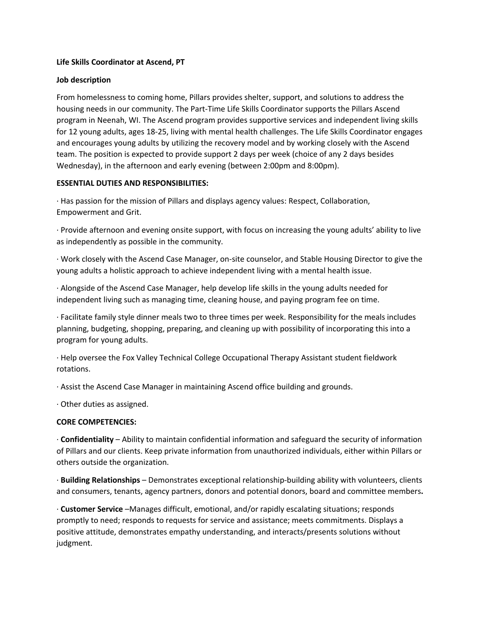## **Life Skills Coordinator at Ascend, PT**

# **Job description**

From homelessness to coming home, Pillars provides shelter, support, and solutions to address the housing needs in our community. The Part-Time Life Skills Coordinator supports the Pillars Ascend program in Neenah, WI. The Ascend program provides supportive services and independent living skills for 12 young adults, ages 18-25, living with mental health challenges. The Life Skills Coordinator engages and encourages young adults by utilizing the recovery model and by working closely with the Ascend team. The position is expected to provide support 2 days per week (choice of any 2 days besides Wednesday), in the afternoon and early evening (between 2:00pm and 8:00pm).

# **ESSENTIAL DUTIES AND RESPONSIBILITIES:**

· Has passion for the mission of Pillars and displays agency values: Respect, Collaboration, Empowerment and Grit.

· Provide afternoon and evening onsite support, with focus on increasing the young adults' ability to live as independently as possible in the community.

· Work closely with the Ascend Case Manager, on-site counselor, and Stable Housing Director to give the young adults a holistic approach to achieve independent living with a mental health issue.

· Alongside of the Ascend Case Manager, help develop life skills in the young adults needed for independent living such as managing time, cleaning house, and paying program fee on time.

· Facilitate family style dinner meals two to three times per week. Responsibility for the meals includes planning, budgeting, shopping, preparing, and cleaning up with possibility of incorporating this into a program for young adults.

· Help oversee the Fox Valley Technical College Occupational Therapy Assistant student fieldwork rotations.

· Assist the Ascend Case Manager in maintaining Ascend office building and grounds.

· Other duties as assigned.

## **CORE COMPETENCIES:**

· **Confidentiality** – Ability to maintain confidential information and safeguard the security of information of Pillars and our clients. Keep private information from unauthorized individuals, either within Pillars or others outside the organization.

· **Building Relationships** – Demonstrates exceptional relationship-building ability with volunteers, clients and consumers, tenants, agency partners, donors and potential donors, board and committee members**.**

· **Customer Service** –Manages difficult, emotional, and/or rapidly escalating situations; responds promptly to need; responds to requests for service and assistance; meets commitments. Displays a positive attitude, demonstrates empathy understanding, and interacts/presents solutions without judgment.